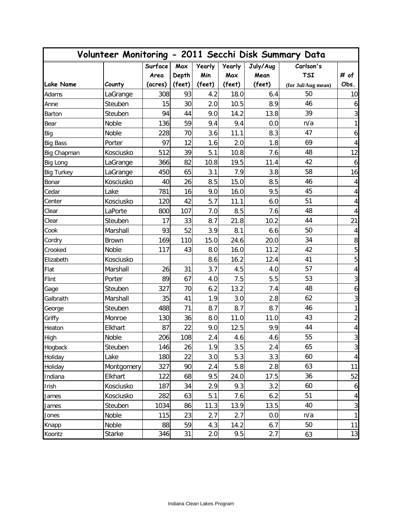|                   |               |                 | Volunteer Monitoring - 2011 Secchi Disk Summary Data |                      |                      |                  |                         |                |  |
|-------------------|---------------|-----------------|------------------------------------------------------|----------------------|----------------------|------------------|-------------------------|----------------|--|
|                   |               | Surface<br>Area | Max<br>Depth                                         | <b>Yearly</b><br>Min | <b>Yearly</b><br>Max | July/Aug<br>Mean | Carlson's<br><b>TSI</b> | # of           |  |
| <b>Lake Name</b>  | County        | (acres)         | (feet)                                               | (feet)               | (feet)               | (feet)           | (for Jul/Aug mean)      | Obs.           |  |
| Adams             | LaGrange      | 308             | 93                                                   | 4.2                  | 18.0                 | 6.4              | 50                      | 10             |  |
| Anne              | Steuben       | 15              | 30                                                   | 2.0                  | 10.5                 | 8.9              | 46                      | 6              |  |
| Barton            | Steuben       | 94              | 44                                                   | 9.0                  | 14.2                 | 13.8             | 39                      | 3              |  |
| Bear              | Noble         | 136             | 59                                                   | 9.4                  | 9.4                  | 0.0              | n/a                     | 1              |  |
| Big               | Noble         | 228             | 70                                                   | 3.6                  | 11.1                 | 8.3              | 47                      | 6              |  |
| <b>Big Bass</b>   | Porter        | 97              | 12                                                   | 1.6                  | 2.0                  | 1.8              | 69                      | 4              |  |
| Big Chapman       | Kosciusko     | 512             | 39                                                   | 5.1                  | 10.8                 | 7.6              | 48                      | 12             |  |
| Big Long          | LaGrange      | 366             | 82                                                   | 10.8                 | 19.5                 | 11.4             | 42                      | 6              |  |
| <b>Big Turkey</b> | LaGrange      | 450             | 65                                                   | 3.1                  | 7.9                  | 3.8              | 58                      | 16             |  |
| Bonar             | Kosciusko     | 40              | 26                                                   | 8.5                  | 15.0                 | 8.5              | 46                      | 4              |  |
| Cedar             | Lake          | 781             | 16                                                   | 9.0                  | 16.0                 | 9.5              | 45                      | 4              |  |
| Center            | Kosciusko     | 120             | 42                                                   | 5.7                  | 11.1                 | 6.0              | 51                      | 4              |  |
| Clear             | LaPorte       | 800             | 107                                                  | 7.0                  | 8.5                  | 7.6              | 48                      | 4              |  |
| Clear             | Steuben       | 17              | 33                                                   | 8.7                  | 21.8                 | 10.2             | 44                      | 21             |  |
| Cook              | Marshall      | 93              | 52                                                   | 3.9                  | 8.1                  | 6.6              | 50                      | 4              |  |
| Cordry            | <b>Brown</b>  | 169             | 110                                                  | 15.0                 | 24.6                 | 20.0             | 34                      | 8              |  |
| Crooked           | Noble         | 117             | 43                                                   | 8.0                  | 16.0                 | 11.2             | 42                      | 5              |  |
| Elizabeth         | Kosciusko     |                 |                                                      | 8.6                  | 16.2                 | 12.4             | 41                      | 5              |  |
| Flat              | Marshall      | 26              | 31                                                   | 3.7                  | 4.5                  | 4.0              | 57                      | 4              |  |
| Flint             | Porter        | 89              | 67                                                   | 4.0                  | 7.5                  | 5.5              | 53                      | 3              |  |
| Gage              | Steuben       | 327             | 70                                                   | 6.2                  | 13.2                 | 7.4              | 48                      | 6              |  |
| Galbraith         | Marshall      | 35              | 41                                                   | 1.9                  | 3.0                  | 2.8              | 62                      | $\mathfrak{Z}$ |  |
| George            | Steuben       | 488             | 71                                                   | 8.7                  | 8.7                  | 8.7              | 46                      | 1              |  |
| Griffy            | Monroe        | 130             | 36                                                   | $8.0\,$              | 11.0                 | 11.0             | 43                      | 2              |  |
| Heaton            | Elkhart       | 87              | 22                                                   | 9.0                  | 12.5                 | 9.9              | 44                      | 4              |  |
| High              | Noble         | 206             | 108                                                  | 2.4                  | 4.6                  | 4.6              | 55                      | $\overline{3}$ |  |
| Hogback           | Steuben       | 146             | 26                                                   | 1.9                  | 3.5                  | 2.4              | 65                      | 3              |  |
| Holiday           | Lake          | 180             | 22                                                   | 3.0                  | 5.3                  | 3.3              | 60                      | $\sqrt{4}$     |  |
| Holiday           | Montgomery    | 327             | 90                                                   | 2.4                  | 5.8                  | 2.8              | 63                      | 11             |  |
| Indiana           | Elkhart       | 122             | 68                                                   | 9.5                  | 24.0                 | 17.5             | 36                      | 52             |  |
| Irish             | Kosciusko     | 187             | 34                                                   | 2.9                  | 9.3                  | 3.2              | 60                      | 6              |  |
| James             | Kosciusko     | 282             | 63                                                   | 5.1                  | 7.6                  | 6.2              | 51                      | 4              |  |
| James             | Steuben       | 1034            | 86                                                   | 11.3                 | 13.9                 | 13.5             | 40                      | $\sqrt{3}$     |  |
| Jones             | Noble         | 115             | 23                                                   | 2.7                  | 2.7                  | 0.0              | n/a                     | 1              |  |
| Knapp             | Noble         | 88              | 59                                                   | 4.3                  | 14.2                 | 6.7              | 50                      | 11             |  |
| Koontz            | <b>Starke</b> | 346             | 31                                                   | 2.0                  | 9.5                  | 2.7              | 63                      | 13             |  |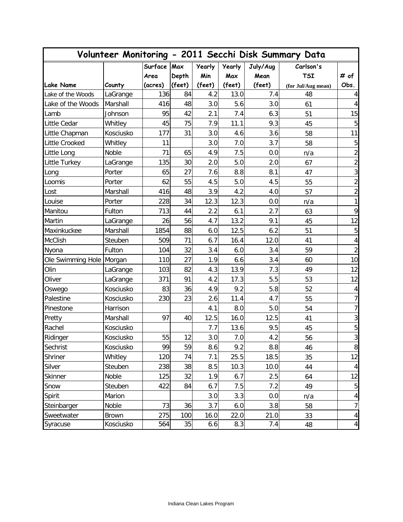| Volunteer Monitoring - 2011 Secchi Disk Summary Data |              |         |        |               |               |          |                    |                  |
|------------------------------------------------------|--------------|---------|--------|---------------|---------------|----------|--------------------|------------------|
|                                                      |              | Surface | Max    | <b>Yearly</b> | <b>Yearly</b> | July/Aug | Carlson's          |                  |
|                                                      |              | Area    | Depth  | Min           | Max           | Mean     | <b>TSI</b>         | # of             |
| Lake Name                                            | County       | (acres) | (feet) | (feet)        | (feet)        | (feet)   | (for Jul/Aug mean) | Obs.             |
| Lake of the Woods                                    | LaGrange     | 136     | 84     | 4.2           | 13.0          | 7.4      | 48                 | 4                |
| Lake of the Woods                                    | Marshall     | 416     | 48     | 3.0           | 5.6           | 3.0      | 61                 | 4                |
| Lamb                                                 | Johnson      | 95      | 42     | 2.1           | 7.4           | 6.3      | 51                 | 15               |
| Little Cedar                                         | Whitley      | 45      | 75     | 7.9           | 11.1          | 9.3      | 45                 | $\sqrt{5}$       |
| Little Chapman                                       | Kosciusko    | 177     | 31     | 3.0           | 4.6           | 3.6      | 58                 | 11               |
| Little Crooked                                       | Whitley      | 11      |        | 3.0           | 7.0           | 3.7      | 58                 | $\overline{5}$   |
| Little Long                                          | Noble        | 71      | 65     | 4.9           | 7.5           | 0.0      | n/a                | $\overline{2}$   |
| Little Turkey                                        | LaGrange     | 135     | 30     | 2.0           | 5.0           | 2.0      | 67                 | $\mathbf{2}$     |
| Long                                                 | Porter       | 65      | 27     | 7.6           | 8.8           | 8.1      | 47                 | 3                |
| Loomis                                               | Porter       | 62      | 55     | 4.5           | 5.0           | 4.5      | 55                 | $\overline{a}$   |
| Lost                                                 | Marshall     | 416     | 48     | 3.9           | 4.2           | 4.0      | 57                 | $\overline{2}$   |
| Louise                                               | Porter       | 228     | 34     | 12.3          | 12.3          | 0.0      | n/a                | 1                |
| Manitou                                              | Fulton       | 713     | 44     | 2.2           | 6.1           | 2.7      | 63                 | 9                |
| Martin                                               | LaGrange     | 26      | 56     | 4.7           | 13.2          | 9.1      | 45                 | 12               |
| Maxinkuckee                                          | Marshall     | 1854    | 88     | 6.0           | 12.5          | 6.2      | 51                 | $\mathbf 5$      |
| McClish                                              | Steuben      | 509     | 71     | 6.7           | 16.4          | 12.0     | 41                 | $\pmb{4}$        |
| Nyona                                                | Fulton       | 104     | 32     | 3.4           | 6.0           | 3.4      | 59                 | $\overline{2}$   |
| Ole Swimming Hole                                    | Morgan       | 110     | 27     | 1.9           | 6.6           | 3.4      | 60                 | 10               |
| Olin                                                 | LaGrange     | 103     | 82     | 4.3           | 13.9          | 7.3      | 49                 | 12               |
| Oliver                                               | LaGrange     | 371     | 91     | 4.2           | 17.3          | 5.5      | 53                 | 12               |
| Oswego                                               | Kosciusko    | 83      | 36     | 4.9           | 9.2           | 5.8      | 52                 | $\overline{4}$   |
| Palestine                                            | Kosciusko    | 230     | 23     | 2.6           | 11.4          | 4.7      | 55                 | $7\vert$         |
| Pinestone                                            | Harrison     |         |        | 4.1           | 8.0           | 5.0      | 54                 | $\overline{7}$   |
| Pretty                                               | Marshall     | 97      | 40     | 12.5          | 16.0          | 12.5     | 41                 | $\mathbf{3}$     |
| Rachel                                               | Kosciusko    |         |        | 7.7           | 13.6          | 9.5      | 45                 | $\mathbf 5$      |
| Ridinger                                             | Kosciusko    | 55      | 12     | 3.0           | 7.0           | 4.2      | 56                 | $\overline{3}$   |
| Sechrist                                             | Kosciusko    | 99      | 59     | 8.6           | 9.2           | 8.8      | 46                 | $\boldsymbol{8}$ |
| Shriner                                              | Whitley      | 120     | 74     | 7.1           | 25.5          | 18.5     | 35                 | 12               |
| Silver                                               | Steuben      | 238     | 38     | 8.5           | 10.3          | 10.0     | 44                 | $\overline{4}$   |
| Skinner                                              | Noble        | 125     | 32     | 1.9           | 6.7           | 2.5      | 64                 | 12               |
| Snow                                                 | Steuben      | 422     | 84     | 6.7           | 7.5           | 7.2      | 49                 | 5                |
| Spirit                                               | Marion       |         |        | 3.0           | 3.3           | 0.0      | n/a                | $\overline{4}$   |
| Steinbarger                                          | Noble        | 73      | 36     | 3.7           | 6.0           | 3.8      | 58                 | 7                |
| Sweetwater                                           | <b>Brown</b> | 275     | 100    | 16.0          | 22.0          | 21.0     | 33                 | $\overline{4}$   |
| Syracuse                                             | Kosciusko    | 564     | 35     | 6.6           | 8.3           | 7.4      | 48                 | $\overline{4}$   |